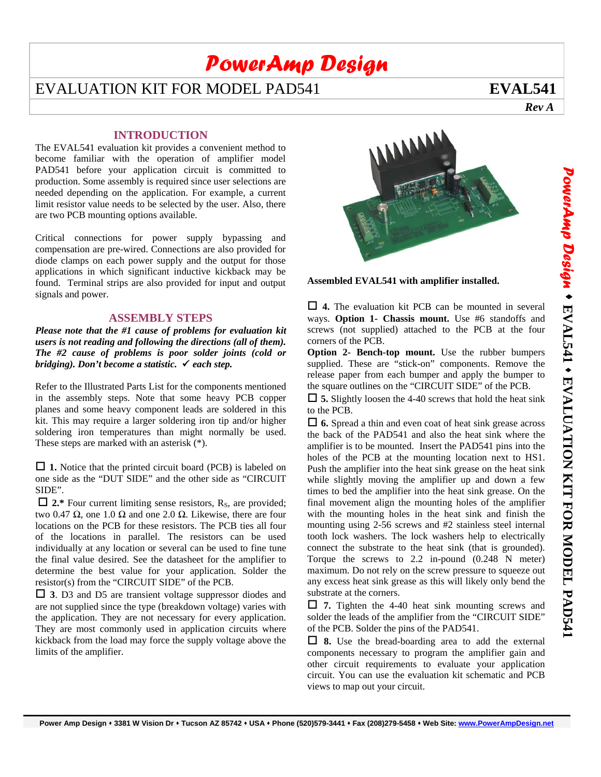# *PowerAmp Design*

## EVALUATION KIT FOR MODEL PAD541 **EVAL541**

 *Rev A*

#### **INTRODUCTION**

The EVAL541 evaluation kit provides a convenient method to become familiar with the operation of amplifier model PAD541 before your application circuit is committed to production. Some assembly is required since user selections are needed depending on the application. For example, a current limit resistor value needs to be selected by the user. Also, there are two PCB mounting options available.

Critical connections for power supply bypassing and compensation are pre-wired. Connections are also provided for diode clamps on each power supply and the output for those applications in which significant inductive kickback may be found. Terminal strips are also provided for input and output signals and power.

#### **ASSEMBLY STEPS**

*Please note that the #1 cause of problems for evaluation kit users is not reading and following the directions (all of them). The #2 cause of problems is poor solder joints (cold or bridging). Don't become a statistic. each step.* 

Refer to the Illustrated Parts List for the components mentioned in the assembly steps. Note that some heavy PCB copper planes and some heavy component leads are soldered in this kit. This may require a larger soldering iron tip and/or higher soldering iron temperatures than might normally be used. These steps are marked with an asterisk (\*).

□ 1. Notice that the printed circuit board (PCB) is labeled on one side as the "DUT SIDE" and the other side as "CIRCUIT SIDE".

 $\Box$  2.\* Four current limiting sense resistors, R<sub>S</sub>, are provided; two 0.47 Ω, one 1.0 Ω and one 2.0 Ω. Likewise, there are four locations on the PCB for these resistors. The PCB ties all four of the locations in parallel. The resistors can be used individually at any location or several can be used to fine tune the final value desired. See the datasheet for the amplifier to determine the best value for your application. Solder the resistor(s) from the "CIRCUIT SIDE" of the PCB.

 **3**. D3 and D5 are transient voltage suppressor diodes and are not supplied since the type (breakdown voltage) varies with the application. They are not necessary for every application. They are most commonly used in application circuits where kickback from the load may force the supply voltage above the limits of the amplifier.



**Assembled EVAL541 with amplifier installed.** 

 **4.** The evaluation kit PCB can be mounted in several ways. **Option 1- Chassis mount.** Use #6 standoffs and screws (not supplied) attached to the PCB at the four corners of the PCB.

**Option 2- Bench-top mount.** Use the rubber bumpers supplied. These are "stick-on" components. Remove the release paper from each bumper and apply the bumper to the square outlines on the "CIRCUIT SIDE" of the PCB.

 **5.** Slightly loosen the 4-40 screws that hold the heat sink to the PCB.

 **6.** Spread a thin and even coat of heat sink grease across the back of the PAD541 and also the heat sink where the amplifier is to be mounted. Insert the PAD541 pins into the holes of the PCB at the mounting location next to HS1. Push the amplifier into the heat sink grease on the heat sink while slightly moving the amplifier up and down a few times to bed the amplifier into the heat sink grease. On the final movement align the mounting holes of the amplifier with the mounting holes in the heat sink and finish the mounting using 2-56 screws and #2 stainless steel internal tooth lock washers. The lock washers help to electrically connect the substrate to the heat sink (that is grounded). Torque the screws to 2.2 in-pound (0.248 N meter) maximum. Do not rely on the screw pressure to squeeze out any excess heat sink grease as this will likely only bend the substrate at the corners.

 **7.** Tighten the 4-40 heat sink mounting screws and solder the leads of the amplifier from the "CIRCUIT SIDE" of the PCB. Solder the pins of the PAD541.

 **8.** Use the bread-boarding area to add the external components necessary to program the amplifier gain and other circuit requirements to evaluate your application circuit. You can use the evaluation kit schematic and PCB views to map out your circuit.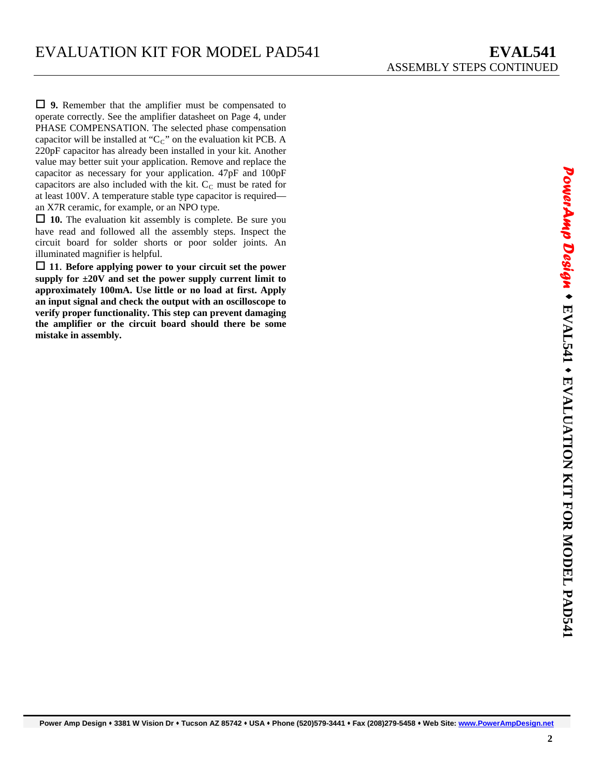an X7R ceramic, for example, or an NPO type. **9.** Remember that the amplifier must be compensated to operate correctly. See the amplifier datasheet on Page 4, under PHASE COMPENSATION. The selected phase compensation capacitor will be installed at " $C<sub>C</sub>$ " on the evaluation kit PCB. A 220pF capacitor has already been installed in your kit. Another value may better suit your application. Remove and replace the capacitor as necessary for your application. 47pF and 100pF capacitors are also included with the kit.  $C_{\text{C}}$  must be rated for at least 100V. A temperature stable type capacitor is required—

 **10.** The evaluation kit assembly is complete. Be sure you have read and followed all the assembly steps. Inspect the circuit board for solder shorts or poor solder joints. An illuminated magnifier is helpful.

 **11**. **Before applying power to your circuit set the power supply for ±20V and set the power supply current limit to approximately 100mA. Use little or no load at first. Apply an input signal and check the output with an oscilloscope to verify proper functionality. This step can prevent damaging the amplifier or the circuit board should there be some mistake in assembly.** 

**Power Amp Design 3381 W Vision Dr Tucson AZ 85742 USA Phone (520)579-3441 Fax (208)279-5458 Web Site: www.PowerAmpDesign.net**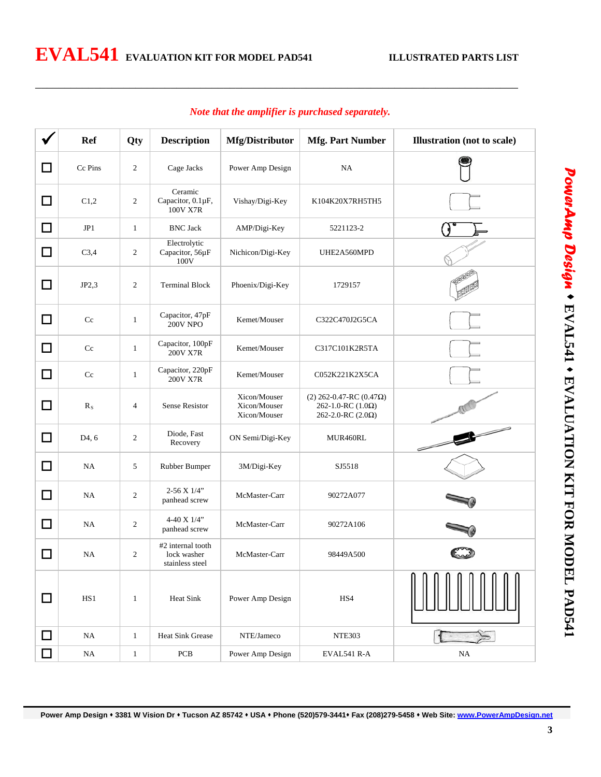|        | <b>Ref</b>         | Qty            | <b>Description</b>                                  | Mfg/Distributor                              | <b>Mfg. Part Number</b>                                                                  | <b>Illustration</b> (not to scale)                   |
|--------|--------------------|----------------|-----------------------------------------------------|----------------------------------------------|------------------------------------------------------------------------------------------|------------------------------------------------------|
| □      | Cc Pins            | $\overline{c}$ | Cage Jacks                                          | Power Amp Design                             | NA                                                                                       |                                                      |
| □      | C1,2               | $\overline{c}$ | Ceramic<br>Capacitor, 0.1µF,<br>100V X7R            | Vishay/Digi-Key                              | K104K20X7RH5TH5                                                                          |                                                      |
| □      | JP1                | $\mathbf{1}$   | <b>BNC Jack</b>                                     | AMP/Digi-Key                                 | 5221123-2                                                                                |                                                      |
| □      | C3,4               | 2              | Electrolytic<br>Capacitor, 56µF<br>100V             | Nichicon/Digi-Key                            | UHE2A560MPD                                                                              |                                                      |
| □      | JP2,3              | $\overline{c}$ | <b>Terminal Block</b>                               | Phoenix/Digi-Key                             | 1729157                                                                                  |                                                      |
| □      | Cc                 | $\mathbf{1}$   | Capacitor, 47pF<br><b>200V NPO</b>                  | Kemet/Mouser                                 | C322C470J2G5CA                                                                           |                                                      |
| □      | Cc                 | $\mathbf{1}$   | Capacitor, 100pF<br>200V X7R                        | Kemet/Mouser                                 | C317C101K2R5TA                                                                           |                                                      |
| □      | Cc                 | $\mathbf{1}$   | Capacitor, 220pF<br>200V X7R                        | Kemet/Mouser                                 | C052K221K2X5CA                                                                           |                                                      |
| □      | $R_{S}$            | 4              | <b>Sense Resistor</b>                               | Xicon/Mouser<br>Xicon/Mouser<br>Xicon/Mouser | (2) 262-0.47-RC (0.47 $\Omega$ )<br>262-1.0-RC $(1.0\Omega)$<br>262-2.0-RC $(2.0\Omega)$ |                                                      |
| □      | D <sub>4</sub> , 6 | $\overline{c}$ | Diode, Fast<br>Recovery                             | ON Semi/Digi-Key                             | MUR460RL                                                                                 | $\overline{\phantom{a}}$<br>$\overline{\phantom{a}}$ |
| □      | NA                 | 5              | Rubber Bumper                                       | 3M/Digi-Key                                  | SJ5518                                                                                   |                                                      |
| □      | NA                 | $\overline{c}$ | $2-56$ X $1/4$ "<br>panhead screw                   | McMaster-Carr                                | 90272A077                                                                                |                                                      |
| □      | NA                 | $\overline{c}$ | 4-40 X 1/4"<br>panhead screw                        | McMaster-Carr                                | 90272A106                                                                                |                                                      |
| □      | NA                 | $\overline{c}$ | #2 internal tooth<br>lock washer<br>stainless steel | McMaster-Carr                                | 98449A500                                                                                |                                                      |
| □      | HS1                | $\mathbf{1}$   | Heat Sink                                           | Power Amp Design                             | HS4                                                                                      |                                                      |
| $\Box$ | $_{\rm NA}$        | $\mathbf{1}$   | <b>Heat Sink Grease</b>                             | NTE/Jameco                                   | <b>NTE303</b>                                                                            |                                                      |
| ┓      | $_{\rm NA}$        | $\,1$          | PCB                                                 | Power Amp Design                             | EVAL541 R-A                                                                              | $\rm NA$                                             |

#### *Note that the amplifier is purchased separately.*

\_\_\_\_\_\_\_\_\_\_\_\_\_\_\_\_\_\_\_\_\_\_\_\_\_\_\_\_\_\_\_\_\_\_\_\_\_\_\_\_\_\_\_\_\_\_\_\_\_\_\_\_\_\_\_\_\_\_\_\_\_\_\_\_\_\_\_\_\_\_\_\_\_\_\_\_\_\_\_\_\_\_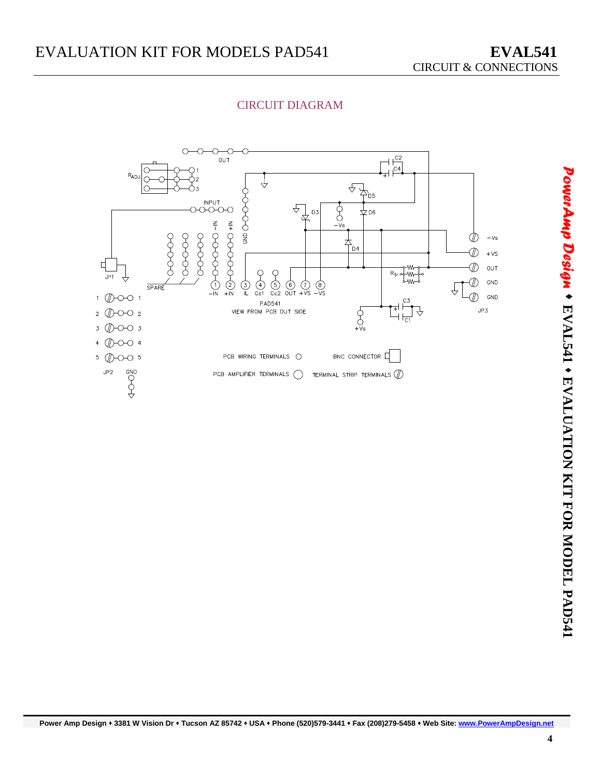

#### CIRCUIT DIAGRAM

**Power Amp Design 3381 W Vision Dr Tucson AZ 85742 USA Phone (520)579-3441 Fax (208)279-5458 Web Site: www.PowerAmpDesign.net**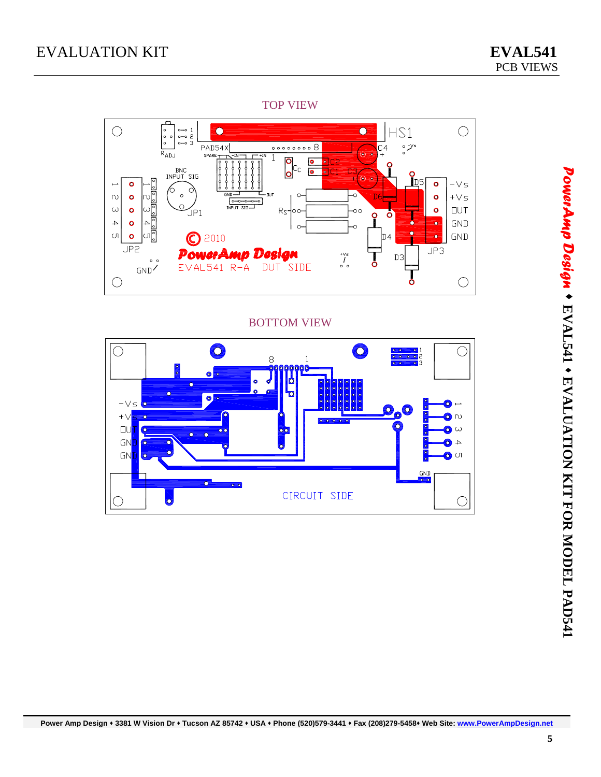#### TOP VIEW



#### BOTTOM VIEW

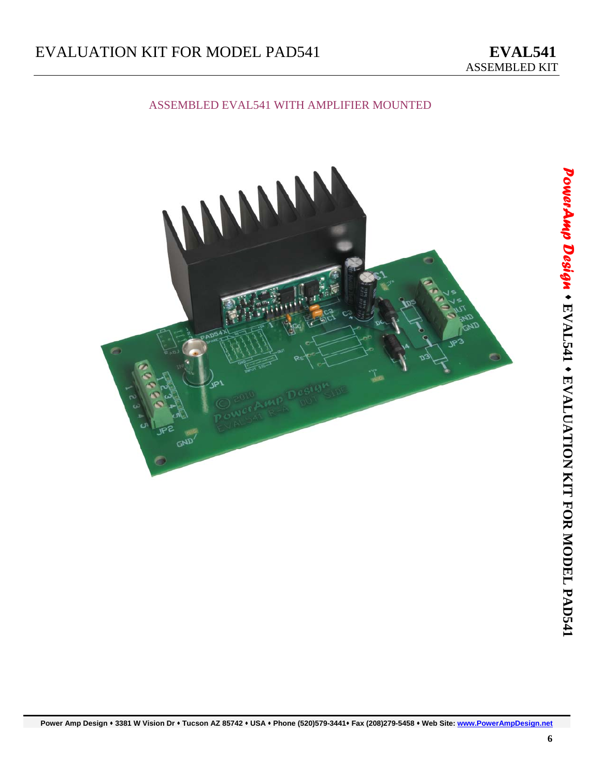## EVALUATION KIT FOR MODEL PAD541 **EVAL541**

#### ASSEMBLED EVAL541 WITH AMPLIFIER MOUNTED



**Power Amp Design 3381 W Vision Dr Tucson AZ 85742 USA Phone (520)579-3441 Fax (208)279-5458 Web Site: www.PowerAmpDesign.net**